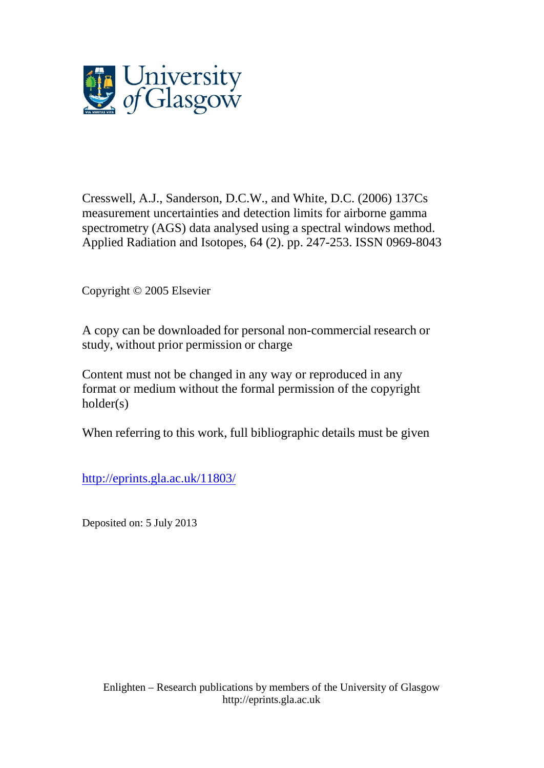

Cresswell, A.J., Sanderson, D.C.W., and White, D.C. (2006) 137Cs measurement uncertainties and detection limits for airborne gamma spectrometry (AGS) data analysed using a spectral windows method. Applied Radiation and Isotopes, 64 (2). pp. 247-253. ISSN 0969-8043

Copyright © 2005 Elsevier

A copy can be downloaded for personal non-commercial research or study, without prior permission or charge

Content must not be changed in any way or reproduced in any format or medium without the formal permission of the copyright holder(s)

When referring to this work, full bibliographic details must be given

<http://eprints.gla.ac.uk/11803/>

Deposited on: 5 July 2013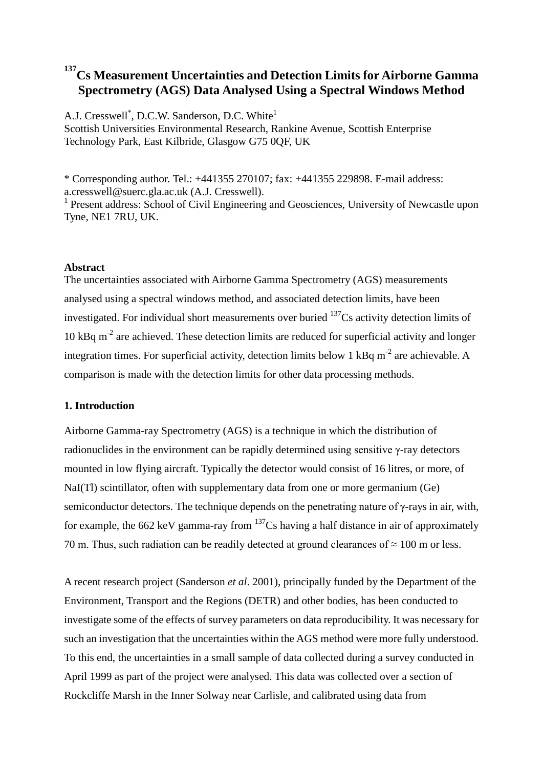# **137Cs Measurement Uncertainties and Detection Limits for Airborne Gamma Spectrometry (AGS) Data Analysed Using a Spectral Windows Method**

A.J. Cresswell<sup>\*</sup>, D.C.W. Sanderson, D.C. White<sup>1</sup> Scottish Universities Environmental Research, Rankine Avenue, Scottish Enterprise Technology Park, East Kilbride, Glasgow G75 0QF, UK

\* Corresponding author. Tel.: +441355 270107; fax: +441355 229898. E-mail address: a.cresswell@suerc.gla.ac.uk (A.J. Cresswell).

<sup>1</sup> Present address: School of Civil Engineering and Geosciences, University of Newcastle upon Tyne, NE1 7RU, UK.

## **Abstract**

The uncertainties associated with Airborne Gamma Spectrometry (AGS) measurements analysed using a spectral windows method, and associated detection limits, have been investigated. For individual short measurements over buried  $137Cs$  activity detection limits of  $10 \text{ kBa m}^2$  are achieved. These detection limits are reduced for superficial activity and longer integration times. For superficial activity, detection limits below 1 kBq  $m<sup>-2</sup>$  are achievable. A comparison is made with the detection limits for other data processing methods.

## **1. Introduction**

Airborne Gamma-ray Spectrometry (AGS) is a technique in which the distribution of radionuclides in the environment can be rapidly determined using sensitive γ-ray detectors mounted in low flying aircraft. Typically the detector would consist of 16 litres, or more, of NaI(Tl) scintillator, often with supplementary data from one or more germanium (Ge) semiconductor detectors. The technique depends on the penetrating nature of  $\gamma$ -rays in air, with, for example, the 662 keV gamma-ray from  $137$ Cs having a half distance in air of approximately 70 m. Thus, such radiation can be readily detected at ground clearances of  $\approx 100$  m or less.

A recent research project (Sanderson *et al*. 2001), principally funded by the Department of the Environment, Transport and the Regions (DETR) and other bodies, has been conducted to investigate some of the effects of survey parameters on data reproducibility. It was necessary for such an investigation that the uncertainties within the AGS method were more fully understood. To this end, the uncertainties in a small sample of data collected during a survey conducted in April 1999 as part of the project were analysed. This data was collected over a section of Rockcliffe Marsh in the Inner Solway near Carlisle, and calibrated using data from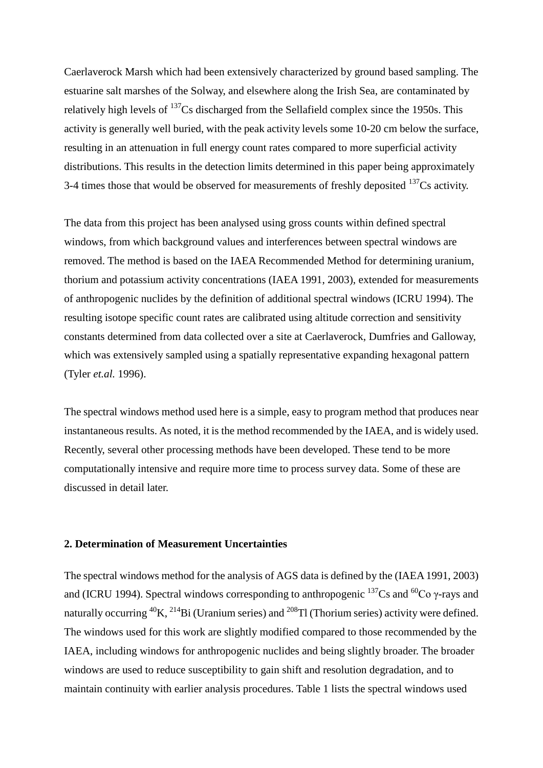Caerlaverock Marsh which had been extensively characterized by ground based sampling. The estuarine salt marshes of the Solway, and elsewhere along the Irish Sea, are contaminated by relatively high levels of  $^{137}Cs$  discharged from the Sellafield complex since the 1950s. This activity is generally well buried, with the peak activity levels some 10-20 cm below the surface, resulting in an attenuation in full energy count rates compared to more superficial activity distributions. This results in the detection limits determined in this paper being approximately 3-4 times those that would be observed for measurements of freshly deposited  $137Cs$  activity.

The data from this project has been analysed using gross counts within defined spectral windows, from which background values and interferences between spectral windows are removed. The method is based on the IAEA Recommended Method for determining uranium, thorium and potassium activity concentrations (IAEA 1991, 2003), extended for measurements of anthropogenic nuclides by the definition of additional spectral windows (ICRU 1994). The resulting isotope specific count rates are calibrated using altitude correction and sensitivity constants determined from data collected over a site at Caerlaverock, Dumfries and Galloway, which was extensively sampled using a spatially representative expanding hexagonal pattern (Tyler *et.al.* 1996).

The spectral windows method used here is a simple, easy to program method that produces near instantaneous results. As noted, it is the method recommended by the IAEA, and is widely used. Recently, several other processing methods have been developed. These tend to be more computationally intensive and require more time to process survey data. Some of these are discussed in detail later.

## **2. Determination of Measurement Uncertainties**

The spectral windows method for the analysis of AGS data is defined by the (IAEA 1991, 2003) and (ICRU 1994). Spectral windows corresponding to anthropogenic  $^{137}Cs$  and  $^{60}Co$  γ-rays and naturally occurring  ${}^{40}$ K,  ${}^{214}$ Bi (Uranium series) and  ${}^{208}$ Tl (Thorium series) activity were defined. The windows used for this work are slightly modified compared to those recommended by the IAEA, including windows for anthropogenic nuclides and being slightly broader. The broader windows are used to reduce susceptibility to gain shift and resolution degradation, and to maintain continuity with earlier analysis procedures. Table 1 lists the spectral windows used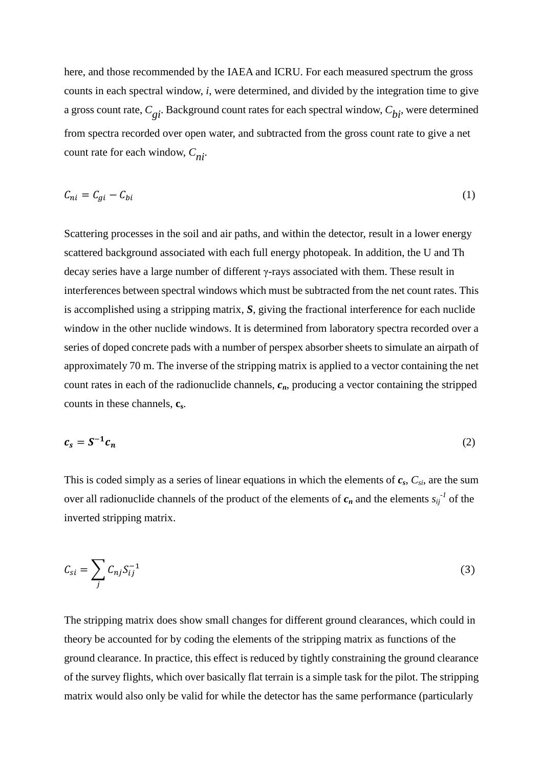here, and those recommended by the IAEA and ICRU. For each measured spectrum the gross counts in each spectral window, *i*, were determined, and divided by the integration time to give a gross count rate,  $C_{gi}$ . Background count rates for each spectral window,  $C_{bi}$ , were determined from spectra recorded over open water, and subtracted from the gross count rate to give a net count rate for each window,  $C_{ni}$ .

$$
C_{ni} = C_{gi} - C_{bi} \tag{1}
$$

Scattering processes in the soil and air paths, and within the detector, result in a lower energy scattered background associated with each full energy photopeak. In addition, the U and Th decay series have a large number of different γ-rays associated with them. These result in interferences between spectral windows which must be subtracted from the net count rates. This is accomplished using a stripping matrix, *S*, giving the fractional interference for each nuclide window in the other nuclide windows. It is determined from laboratory spectra recorded over a series of doped concrete pads with a number of perspex absorber sheets to simulate an airpath of approximately 70 m. The inverse of the stripping matrix is applied to a vector containing the net count rates in each of the radionuclide channels,  $c_n$ , producing a vector containing the stripped counts in these channels, **cs**.

$$
c_s = S^{-1}c_n \tag{2}
$$

This is coded simply as a series of linear equations in which the elements of  $c_s$ ,  $C_{si}$ , are the sum over all radionuclide channels of the product of the elements of  $c_n$  and the elements  $s_{ij}$ <sup>-1</sup> of the inverted stripping matrix.

$$
C_{si} = \sum_{j} C_{nj} S_{ij}^{-1} \tag{3}
$$

The stripping matrix does show small changes for different ground clearances, which could in theory be accounted for by coding the elements of the stripping matrix as functions of the ground clearance. In practice, this effect is reduced by tightly constraining the ground clearance of the survey flights, which over basically flat terrain is a simple task for the pilot. The stripping matrix would also only be valid for while the detector has the same performance (particularly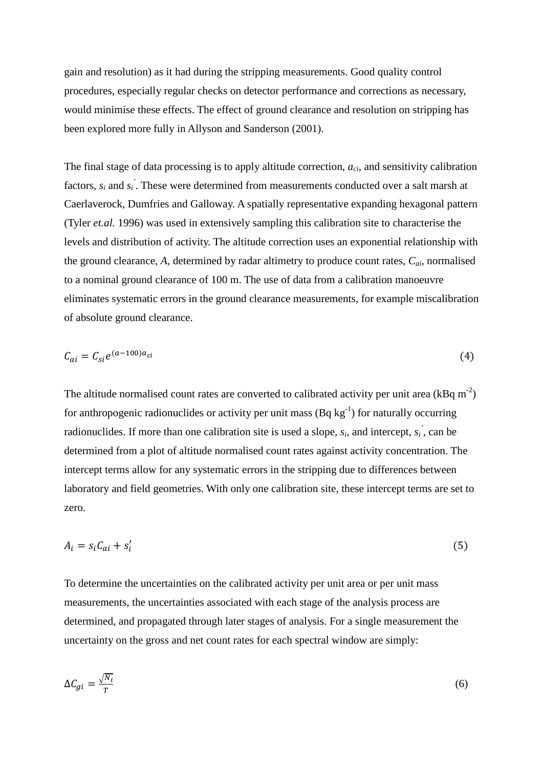gain and resolution) as it had during the stripping measurements. Good quality control procedures, especially regular checks on detector performance and corrections as necessary, would minimise these effects. The effect of ground clearance and resolution on stripping has been explored more fully in Allyson and Sanderson (2001).

The final stage of data processing is to apply altitude correction, *aci*, and sensitivity calibration factors,  $s_i$  and  $s_i$ <sup>'</sup>. These were determined from measurements conducted over a salt marsh at Caerlaverock, Dumfries and Galloway. A spatially representative expanding hexagonal pattern (Tyler *et.al.* 1996) was used in extensively sampling this calibration site to characterise the levels and distribution of activity. The altitude correction uses an exponential relationship with the ground clearance,  $A$ , determined by radar altimetry to produce count rates,  $C_{ai}$ , normalised to a nominal ground clearance of 100 m. The use of data from a calibration manoeuvre eliminates systematic errors in the ground clearance measurements, for example miscalibration of absolute ground clearance.

$$
C_{ai} = C_{si}e^{(a-100)a_{ci}} \tag{4}
$$

The altitude normalised count rates are converted to calibrated activity per unit area ( $kBq m<sup>-2</sup>$ ) for anthropogenic radionuclides or activity per unit mass  $(Bq kg^{-1})$  for naturally occurring radionuclides. If more than one calibration site is used a slope,  $s_i$ , and intercept,  $s_i$ <sup>'</sup>, can be determined from a plot of altitude normalised count rates against activity concentration. The intercept terms allow for any systematic errors in the stripping due to differences between laboratory and field geometries. With only one calibration site, these intercept terms are set to zero.

$$
A_i = s_i C_{ai} + s'_i \tag{5}
$$

To determine the uncertainties on the calibrated activity per unit area or per unit mass measurements, the uncertainties associated with each stage of the analysis process are determined, and propagated through later stages of analysis. For a single measurement the uncertainty on the gross and net count rates for each spectral window are simply:

$$
\Delta C_{gi} = \frac{\sqrt{N_i}}{T} \tag{6}
$$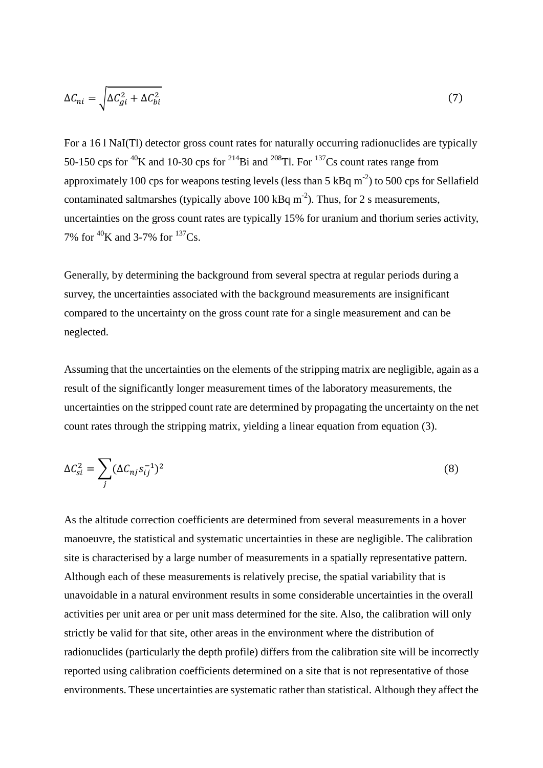$$
\Delta C_{ni} = \sqrt{\Delta C_{gi}^2 + \Delta C_{bi}^2} \tag{7}
$$

For a 16 l NaI(Tl) detector gross count rates for naturally occurring radionuclides are typically 50-150 cps for <sup>40</sup>K and 10-30 cps for <sup>214</sup>Bi and <sup>208</sup>Tl. For <sup>137</sup>Cs count rates range from approximately 100 cps for weapons testing levels (less than 5 kBq  $m^{-2}$ ) to 500 cps for Sellafield contaminated saltmarshes (typically above 100 kBq m<sup>-2</sup>). Thus, for 2 s measurements, uncertainties on the gross count rates are typically 15% for uranium and thorium series activity, 7% for  ${}^{40}$ K and 3-7% for  ${}^{137}$ Cs.

Generally, by determining the background from several spectra at regular periods during a survey, the uncertainties associated with the background measurements are insignificant compared to the uncertainty on the gross count rate for a single measurement and can be neglected.

Assuming that the uncertainties on the elements of the stripping matrix are negligible, again as a result of the significantly longer measurement times of the laboratory measurements, the uncertainties on the stripped count rate are determined by propagating the uncertainty on the net count rates through the stripping matrix, yielding a linear equation from equation (3).

$$
\Delta C_{si}^2 = \sum_j (\Delta C_{nj} s_{ij}^{-1})^2
$$
\n(8)

As the altitude correction coefficients are determined from several measurements in a hover manoeuvre, the statistical and systematic uncertainties in these are negligible. The calibration site is characterised by a large number of measurements in a spatially representative pattern. Although each of these measurements is relatively precise, the spatial variability that is unavoidable in a natural environment results in some considerable uncertainties in the overall activities per unit area or per unit mass determined for the site. Also, the calibration will only strictly be valid for that site, other areas in the environment where the distribution of radionuclides (particularly the depth profile) differs from the calibration site will be incorrectly reported using calibration coefficients determined on a site that is not representative of those environments. These uncertainties are systematic rather than statistical. Although they affect the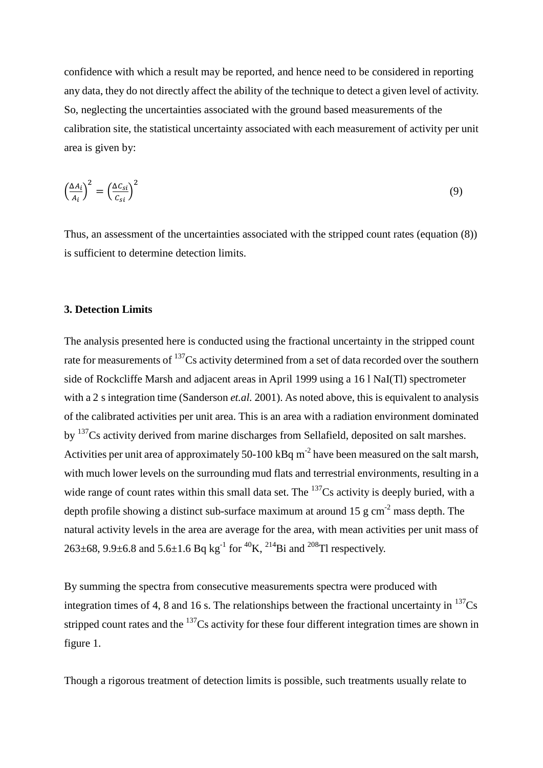confidence with which a result may be reported, and hence need to be considered in reporting any data, they do not directly affect the ability of the technique to detect a given level of activity. So, neglecting the uncertainties associated with the ground based measurements of the calibration site, the statistical uncertainty associated with each measurement of activity per unit area is given by:

$$
\left(\frac{\Delta A_i}{A_i}\right)^2 = \left(\frac{\Delta C_{si}}{C_{si}}\right)^2\tag{9}
$$

Thus, an assessment of the uncertainties associated with the stripped count rates (equation (8)) is sufficient to determine detection limits.

#### **3. Detection Limits**

The analysis presented here is conducted using the fractional uncertainty in the stripped count rate for measurements of <sup>137</sup>Cs activity determined from a set of data recorded over the southern side of Rockcliffe Marsh and adjacent areas in April 1999 using a 16 l NaI(Tl) spectrometer with a 2 s integration time (Sanderson *et.al.* 2001). As noted above, this is equivalent to analysis of the calibrated activities per unit area. This is an area with a radiation environment dominated by 137Cs activity derived from marine discharges from Sellafield, deposited on salt marshes. Activities per unit area of approximately 50-100 kBq  $m<sup>2</sup>$  have been measured on the salt marsh, with much lower levels on the surrounding mud flats and terrestrial environments, resulting in a wide range of count rates within this small data set. The  $^{137}Cs$  activity is deeply buried, with a depth profile showing a distinct sub-surface maximum at around 15 g  $\text{cm}^2$  mass depth. The natural activity levels in the area are average for the area, with mean activities per unit mass of 263 $\pm$ 68, 9.9 $\pm$ 6.8 and 5.6 $\pm$ 1.6 Bq kg<sup>-1</sup> for <sup>40</sup>K, <sup>214</sup>Bi and <sup>208</sup>Tl respectively.

By summing the spectra from consecutive measurements spectra were produced with integration times of 4, 8 and 16 s. The relationships between the fractional uncertainty in  $^{137}Cs$ stripped count rates and the  $137Cs$  activity for these four different integration times are shown in figure 1.

Though a rigorous treatment of detection limits is possible, such treatments usually relate to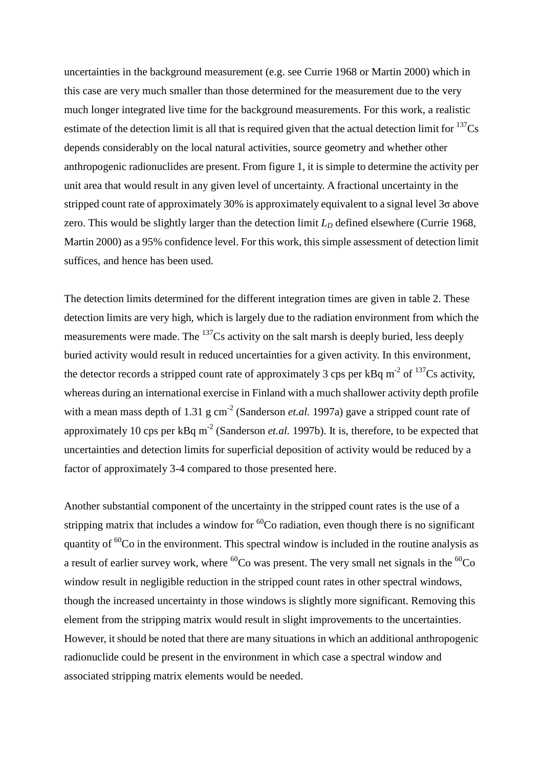uncertainties in the background measurement (e.g. see Currie 1968 or Martin 2000) which in this case are very much smaller than those determined for the measurement due to the very much longer integrated live time for the background measurements. For this work, a realistic estimate of the detection limit is all that is required given that the actual detection limit for <sup>137</sup>Cs depends considerably on the local natural activities, source geometry and whether other anthropogenic radionuclides are present. From figure 1, it is simple to determine the activity per unit area that would result in any given level of uncertainty. A fractional uncertainty in the stripped count rate of approximately 30% is approximately equivalent to a signal level 3σ above zero. This would be slightly larger than the detection limit  $L<sub>D</sub>$  defined elsewhere (Currie 1968, Martin 2000) as a 95% confidence level. For this work, this simple assessment of detection limit suffices, and hence has been used.

The detection limits determined for the different integration times are given in table 2. These detection limits are very high, which is largely due to the radiation environment from which the measurements were made. The  $^{137}Cs$  activity on the salt marsh is deeply buried, less deeply buried activity would result in reduced uncertainties for a given activity. In this environment, the detector records a stripped count rate of approximately 3 cps per kBq  $m^{-2}$  of  $137Cs$  activity, whereas during an international exercise in Finland with a much shallower activity depth profile with a mean mass depth of 1.31 g cm<sup>-2</sup> (Sanderson *et.al.* 1997a) gave a stripped count rate of approximately 10 cps per kBq m-2 (Sanderson *et.al.* 1997b). It is, therefore, to be expected that uncertainties and detection limits for superficial deposition of activity would be reduced by a factor of approximately 3-4 compared to those presented here.

Another substantial component of the uncertainty in the stripped count rates is the use of a stripping matrix that includes a window for  ${}^{60}$ Co radiation, even though there is no significant quantity of  ${}^{60}Co$  in the environment. This spectral window is included in the routine analysis as a result of earlier survey work, where  ${}^{60}Co$  was present. The very small net signals in the  ${}^{60}Co$ window result in negligible reduction in the stripped count rates in other spectral windows, though the increased uncertainty in those windows is slightly more significant. Removing this element from the stripping matrix would result in slight improvements to the uncertainties. However, it should be noted that there are many situations in which an additional anthropogenic radionuclide could be present in the environment in which case a spectral window and associated stripping matrix elements would be needed.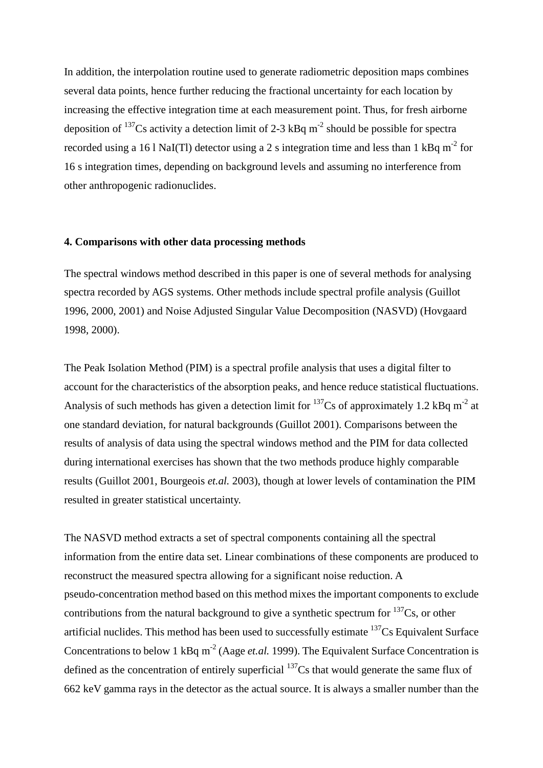In addition, the interpolation routine used to generate radiometric deposition maps combines several data points, hence further reducing the fractional uncertainty for each location by increasing the effective integration time at each measurement point. Thus, for fresh airborne deposition of  $^{137}$ Cs activity a detection limit of 2-3 kBq m<sup>-2</sup> should be possible for spectra recorded using a 16 l NaI(Tl) detector using a 2 s integration time and less than 1 kBq m<sup>-2</sup> for 16 s integration times, depending on background levels and assuming no interference from other anthropogenic radionuclides.

#### **4. Comparisons with other data processing methods**

The spectral windows method described in this paper is one of several methods for analysing spectra recorded by AGS systems. Other methods include spectral profile analysis (Guillot 1996, 2000, 2001) and Noise Adjusted Singular Value Decomposition (NASVD) (Hovgaard 1998, 2000).

The Peak Isolation Method (PIM) is a spectral profile analysis that uses a digital filter to account for the characteristics of the absorption peaks, and hence reduce statistical fluctuations. Analysis of such methods has given a detection limit for  $^{137}Cs$  of approximately 1.2 kBq m<sup>-2</sup> at one standard deviation, for natural backgrounds (Guillot 2001). Comparisons between the results of analysis of data using the spectral windows method and the PIM for data collected during international exercises has shown that the two methods produce highly comparable results (Guillot 2001, Bourgeois *et.al.* 2003), though at lower levels of contamination the PIM resulted in greater statistical uncertainty.

The NASVD method extracts a set of spectral components containing all the spectral information from the entire data set. Linear combinations of these components are produced to reconstruct the measured spectra allowing for a significant noise reduction. A pseudo-concentration method based on this method mixes the important components to exclude contributions from the natural background to give a synthetic spectrum for  $137Cs$ , or other artificial nuclides. This method has been used to successfully estimate  $137Cs$  Equivalent Surface Concentrations to below 1 kBq m<sup>-2</sup> (Aage *et.al.* 1999). The Equivalent Surface Concentration is defined as the concentration of entirely superficial  $^{137}Cs$  that would generate the same flux of 662 keV gamma rays in the detector as the actual source. It is always a smaller number than the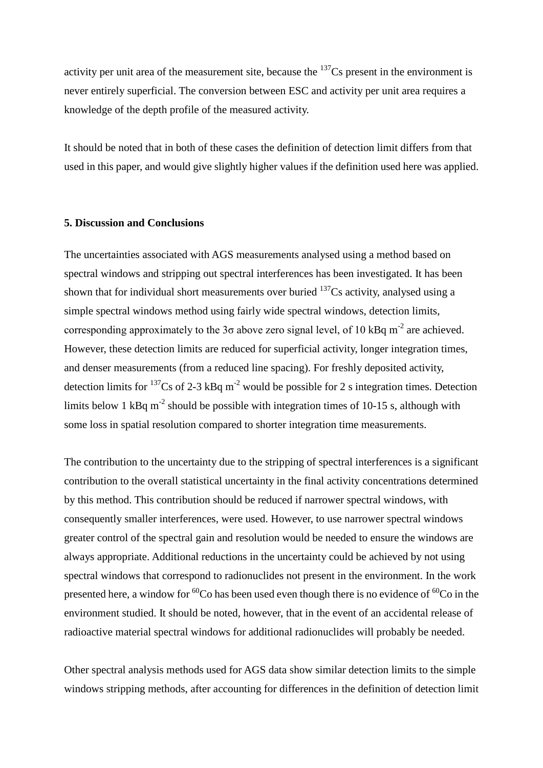activity per unit area of the measurement site, because the  $137Cs$  present in the environment is never entirely superficial. The conversion between ESC and activity per unit area requires a knowledge of the depth profile of the measured activity.

It should be noted that in both of these cases the definition of detection limit differs from that used in this paper, and would give slightly higher values if the definition used here was applied.

#### **5. Discussion and Conclusions**

The uncertainties associated with AGS measurements analysed using a method based on spectral windows and stripping out spectral interferences has been investigated. It has been shown that for individual short measurements over buried  $137Cs$  activity, analysed using a simple spectral windows method using fairly wide spectral windows, detection limits, corresponding approximately to the  $3\sigma$  above zero signal level, of 10 kBq m<sup>-2</sup> are achieved. However, these detection limits are reduced for superficial activity, longer integration times, and denser measurements (from a reduced line spacing). For freshly deposited activity, detection limits for  $^{137}Cs$  of 2-3 kBq m<sup>-2</sup> would be possible for 2 s integration times. Detection limits below 1 kBq m<sup>-2</sup> should be possible with integration times of 10-15 s, although with some loss in spatial resolution compared to shorter integration time measurements.

The contribution to the uncertainty due to the stripping of spectral interferences is a significant contribution to the overall statistical uncertainty in the final activity concentrations determined by this method. This contribution should be reduced if narrower spectral windows, with consequently smaller interferences, were used. However, to use narrower spectral windows greater control of the spectral gain and resolution would be needed to ensure the windows are always appropriate. Additional reductions in the uncertainty could be achieved by not using spectral windows that correspond to radionuclides not present in the environment. In the work presented here, a window for <sup>60</sup>Co has been used even though there is no evidence of <sup>60</sup>Co in the environment studied. It should be noted, however, that in the event of an accidental release of radioactive material spectral windows for additional radionuclides will probably be needed.

Other spectral analysis methods used for AGS data show similar detection limits to the simple windows stripping methods, after accounting for differences in the definition of detection limit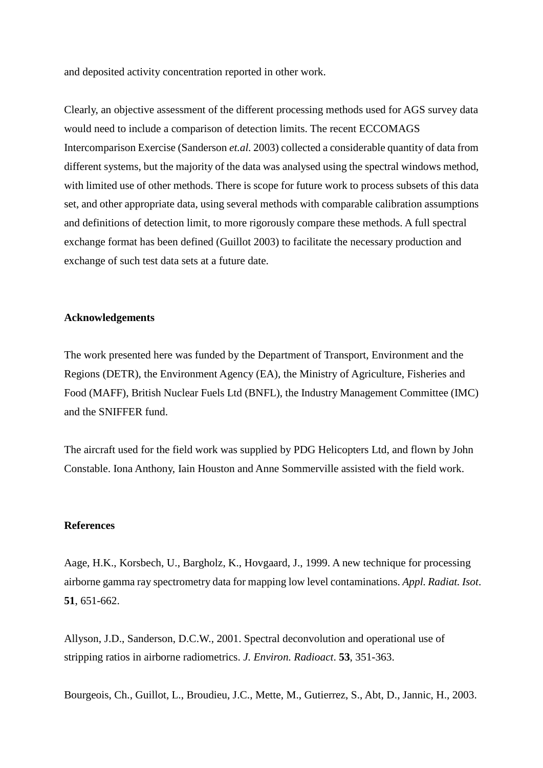and deposited activity concentration reported in other work.

Clearly, an objective assessment of the different processing methods used for AGS survey data would need to include a comparison of detection limits. The recent ECCOMAGS Intercomparison Exercise (Sanderson *et.al.* 2003) collected a considerable quantity of data from different systems, but the majority of the data was analysed using the spectral windows method, with limited use of other methods. There is scope for future work to process subsets of this data set, and other appropriate data, using several methods with comparable calibration assumptions and definitions of detection limit, to more rigorously compare these methods. A full spectral exchange format has been defined (Guillot 2003) to facilitate the necessary production and exchange of such test data sets at a future date.

#### **Acknowledgements**

The work presented here was funded by the Department of Transport, Environment and the Regions (DETR), the Environment Agency (EA), the Ministry of Agriculture, Fisheries and Food (MAFF), British Nuclear Fuels Ltd (BNFL), the Industry Management Committee (IMC) and the SNIFFER fund.

The aircraft used for the field work was supplied by PDG Helicopters Ltd, and flown by John Constable. Iona Anthony, Iain Houston and Anne Sommerville assisted with the field work.

## **References**

Aage, H.K., Korsbech, U., Bargholz, K., Hovgaard, J., 1999. A new technique for processing airborne gamma ray spectrometry data for mapping low level contaminations. *Appl. Radiat. Isot*. **51**, 651-662.

Allyson, J.D., Sanderson, D.C.W., 2001. Spectral deconvolution and operational use of stripping ratios in airborne radiometrics. *J. Environ. Radioact*. **53**, 351-363.

Bourgeois, Ch., Guillot, L., Broudieu, J.C., Mette, M., Gutierrez, S., Abt, D., Jannic, H., 2003.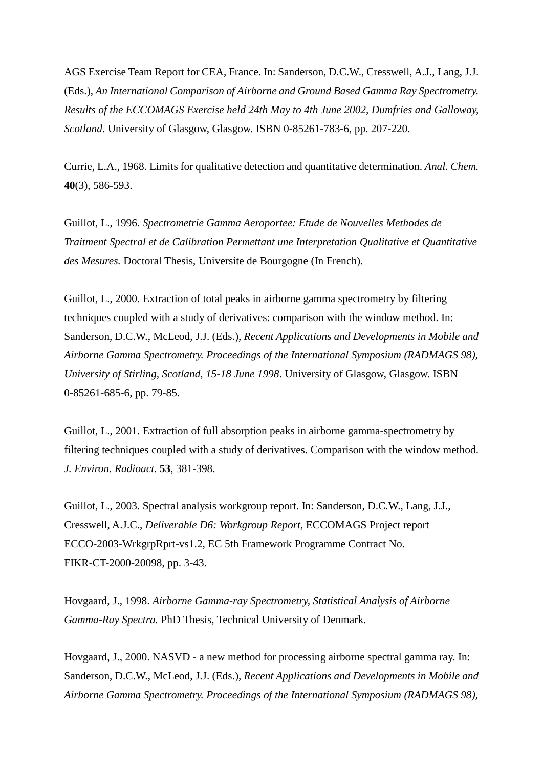AGS Exercise Team Report for CEA, France. In: Sanderson, D.C.W., Cresswell, A.J., Lang, J.J. (Eds.), *An International Comparison of Airborne and Ground Based Gamma Ray Spectrometry. Results of the ECCOMAGS Exercise held 24th May to 4th June 2002, Dumfries and Galloway, Scotland.* University of Glasgow, Glasgow. ISBN 0-85261-783-6, pp. 207-220.

Currie, L.A., 1968. Limits for qualitative detection and quantitative determination. *Anal. Chem.* **40**(3), 586-593.

Guillot, L., 1996. *Spectrometrie Gamma Aeroportee: Etude de Nouvelles Methodes de Traitment Spectral et de Calibration Permettant une Interpretation Qualitative et Quantitative des Mesures.* Doctoral Thesis, Universite de Bourgogne (In French).

Guillot, L., 2000. Extraction of total peaks in airborne gamma spectrometry by filtering techniques coupled with a study of derivatives: comparison with the window method. In: Sanderson, D.C.W., McLeod, J.J. (Eds.), *Recent Applications and Developments in Mobile and Airborne Gamma Spectrometry. Proceedings of the International Symposium (RADMAGS 98), University of Stirling, Scotland, 15-18 June 1998*. University of Glasgow, Glasgow. ISBN 0-85261-685-6, pp. 79-85.

Guillot, L., 2001. Extraction of full absorption peaks in airborne gamma-spectrometry by filtering techniques coupled with a study of derivatives. Comparison with the window method. *J. Environ. Radioact*. **53**, 381-398.

Guillot, L., 2003. Spectral analysis workgroup report. In: Sanderson, D.C.W., Lang, J.J., Cresswell, A.J.C., *Deliverable D6: Workgroup Report,* ECCOMAGS Project report ECCO-2003-WrkgrpRprt-vs1.2, EC 5th Framework Programme Contract No. FIKR-CT-2000-20098, pp. 3-43.

Hovgaard, J., 1998. *Airborne Gamma-ray Spectrometry, Statistical Analysis of Airborne Gamma-Ray Spectra.* PhD Thesis, Technical University of Denmark.

Hovgaard, J., 2000. NASVD - a new method for processing airborne spectral gamma ray. In: Sanderson, D.C.W., McLeod, J.J. (Eds.), *Recent Applications and Developments in Mobile and Airborne Gamma Spectrometry. Proceedings of the International Symposium (RADMAGS 98),*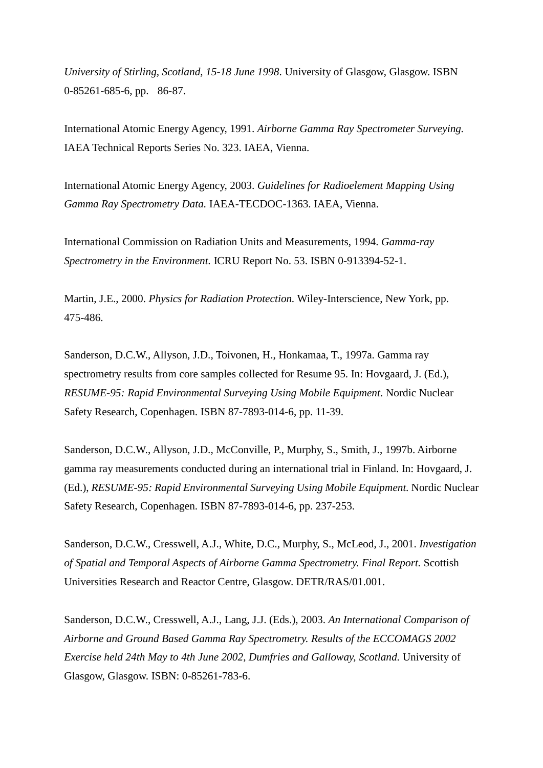*University of Stirling, Scotland, 15-18 June 1998*. University of Glasgow, Glasgow. ISBN 0-85261-685-6, pp. 86-87.

International Atomic Energy Agency, 1991. *Airborne Gamma Ray Spectrometer Surveying.* IAEA Technical Reports Series No. 323. IAEA, Vienna.

International Atomic Energy Agency, 2003. *Guidelines for Radioelement Mapping Using Gamma Ray Spectrometry Data.* IAEA-TECDOC-1363. IAEA, Vienna.

International Commission on Radiation Units and Measurements, 1994. *Gamma-ray Spectrometry in the Environment.* ICRU Report No. 53. ISBN 0-913394-52-1.

Martin, J.E., 2000. *Physics for Radiation Protection.* Wiley-Interscience, New York, pp. 475-486.

Sanderson, D.C.W., Allyson, J.D., Toivonen, H., Honkamaa, T., 1997a. Gamma ray spectrometry results from core samples collected for Resume 95. In: Hovgaard, J. (Ed.), *RESUME-95: Rapid Environmental Surveying Using Mobile Equipment*. Nordic Nuclear Safety Research, Copenhagen. ISBN 87-7893-014-6, pp. 11-39.

Sanderson, D.C.W., Allyson, J.D., McConville, P., Murphy, S., Smith, J., 1997b. Airborne gamma ray measurements conducted during an international trial in Finland. In: Hovgaard, J. (Ed.), *RESUME-95: Rapid Environmental Surveying Using Mobile Equipment.* Nordic Nuclear Safety Research, Copenhagen. ISBN 87-7893-014-6, pp. 237-253.

Sanderson, D.C.W., Cresswell, A.J., White, D.C., Murphy, S., McLeod, J., 2001. *Investigation of Spatial and Temporal Aspects of Airborne Gamma Spectrometry. Final Report.* Scottish Universities Research and Reactor Centre, Glasgow. DETR/RAS/01.001.

Sanderson, D.C.W., Cresswell, A.J., Lang, J.J. (Eds.), 2003. *An International Comparison of Airborne and Ground Based Gamma Ray Spectrometry. Results of the ECCOMAGS 2002 Exercise held 24th May to 4th June 2002, Dumfries and Galloway, Scotland.* University of Glasgow, Glasgow. ISBN: 0-85261-783-6.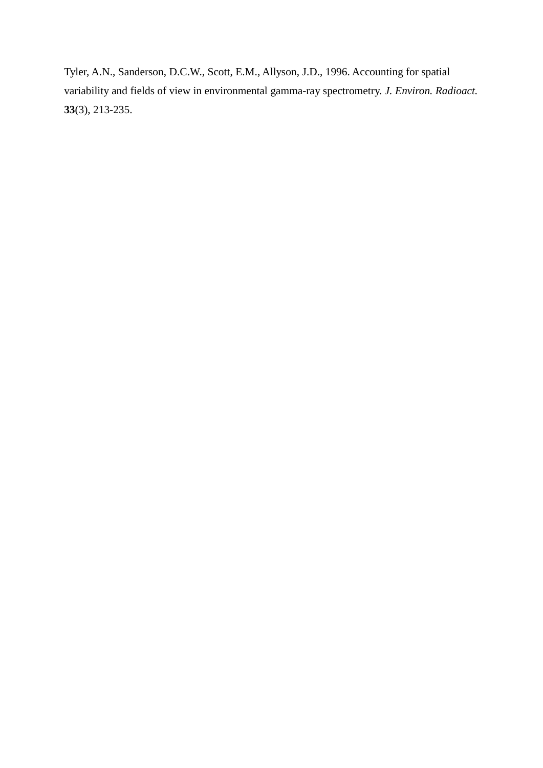Tyler, A.N., Sanderson, D.C.W., Scott, E.M., Allyson, J.D., 1996. Accounting for spatial variability and fields of view in environmental gamma-ray spectrometry. *J. Environ. Radioact.*  **33**(3), 213-235.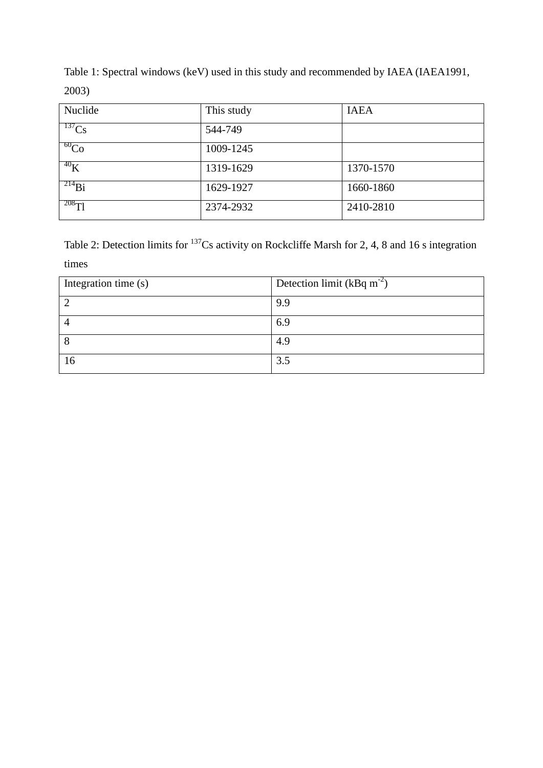Table 1: Spectral windows (keV) used in this study and recommended by IAEA (IAEA1991, 2003)

| Nuclide            | This study | <b>IAEA</b> |
|--------------------|------------|-------------|
| $137$ Cs           | 544-749    |             |
| $\overline{60}$ Co | 1009-1245  |             |
| $^{40}$ K          | 1319-1629  | 1370-1570   |
| $^{214}Bi$         | 1629-1927  | 1660-1860   |
| $208 - 1$          | 2374-2932  | 2410-2810   |

Table 2: Detection limits for <sup>137</sup>Cs activity on Rockcliffe Marsh for 2, 4, 8 and 16 s integration times

| Integration time (s) | Detection limit (kBq $m^{-2}$ ) |
|----------------------|---------------------------------|
|                      | 9.9                             |
|                      | 6.9                             |
|                      | 4.9                             |
| 16                   | 3.5                             |